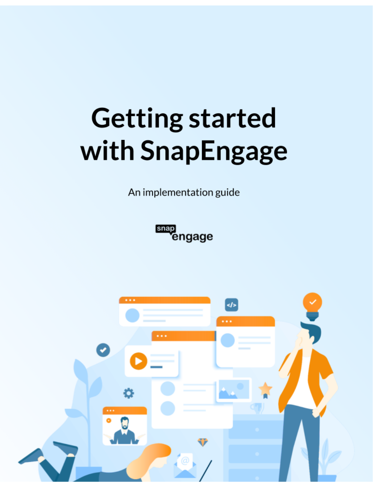# **Getting started** with SnapEngage

An implementation guide

snap<br>
engage

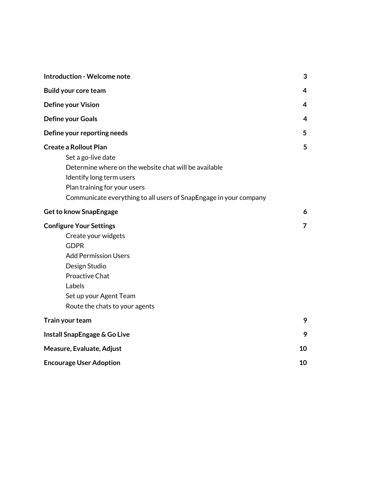| <b>Introduction - Welcome note</b>                                                                                                                                                                                                           | 3              |
|----------------------------------------------------------------------------------------------------------------------------------------------------------------------------------------------------------------------------------------------|----------------|
| <b>Build your core team</b>                                                                                                                                                                                                                  | $\overline{4}$ |
| Define your Vision                                                                                                                                                                                                                           | 4              |
| Define your Goals                                                                                                                                                                                                                            | 4              |
| Define your reporting needs                                                                                                                                                                                                                  | 5              |
| <b>Create a Rollout Plan</b><br>Set a go-live date<br>Determine where on the website chat will be available<br>Identify long term users<br>Plan training for your users<br>Communicate everything to all users of SnapEngage in your company | 5              |
| <b>Get to know SnapEngage</b>                                                                                                                                                                                                                | 6              |
| <b>Configure Your Settings</b><br>Create your widgets<br><b>GDPR</b><br><b>Add Permission Users</b><br>Design Studio<br><b>Proactive Chat</b><br>Labels<br>Set up your Agent Team<br>Route the chats to your agents                          | $\overline{7}$ |
| Train your team                                                                                                                                                                                                                              | 9              |
| Install SnapEngage & Go Live                                                                                                                                                                                                                 | 9              |
| Measure, Evaluate, Adjust                                                                                                                                                                                                                    | 10             |
| <b>Encourage User Adoption</b>                                                                                                                                                                                                               | 10             |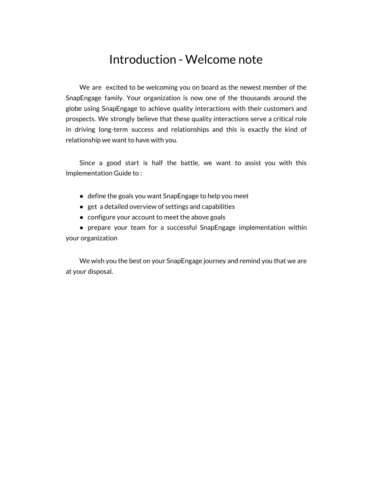## Introduction - Welcome note

<span id="page-2-0"></span>We are excited to be welcoming you on board as the newest member of the SnapEngage family. Your organization is now one of the thousands around the globe using SnapEngage to achieve quality interactions with their customers and prospects. We strongly believe that these quality interactions serve a critical role in driving long-term success and relationships and this is exactly the kind of relationship we want to have with you.

Since a good start is half the battle, we want to assist you with this Implementation Guide to :

- define the goals you want SnapEngage to help you meet
- get a detailed overview of settings and capabilities
- configure your account to meet the above goals

• prepare your team for a successful SnapEngage implementation within your organization

We wish you the best on your SnapEngage journey and remind you that we are at your disposal.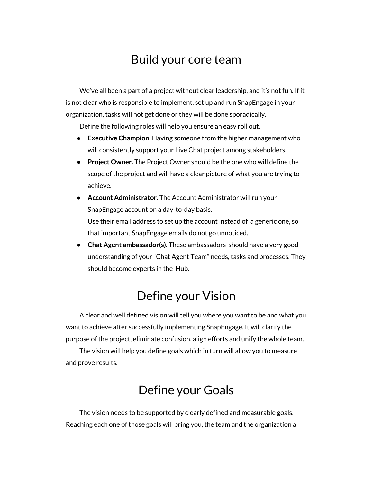## Build your core team

<span id="page-3-0"></span>We've all been a part of a project without clear leadership, and it's not fun. If it is not clear who is responsible to implement, set up and run SnapEngage in your organization, tasks will not get done or they will be done sporadically.

Define the following roles will help you ensure an easy roll out.

- **Executive Champion.** Having someone from the higher management who will consistently support your Live Chat project among stakeholders.
- **Project Owner.** The Project Owner should be the one who will define the scope of the project and will have a clear picture of what you are trying to achieve.
- **● Account Administrator.** The Account Administrator will run your SnapEngage account on a day-to-day basis. Use their email address to set up the account instead of a generic one, so that important SnapEngage emails do not go unnoticed.
- **● Chat Agent ambassador(s).** These ambassadors should have a very good understanding of your "Chat Agent Team" needs, tasks and processes. They should become experts in the Hub.

## Define your Vision

<span id="page-3-1"></span>A clear and well defined vision will tell you where you want to be and what you want to achieve after successfully implementing SnapEngage. It will clarify the purpose of the project, eliminate confusion, align efforts and unify the whole team.

<span id="page-3-2"></span>The vision will help you define goals which in turn will allow you to measure and prove results.

## Define your Goals

The vision needs to be supported by clearly defined and measurable goals. Reaching each one of those goals will bring you, the team and the organization a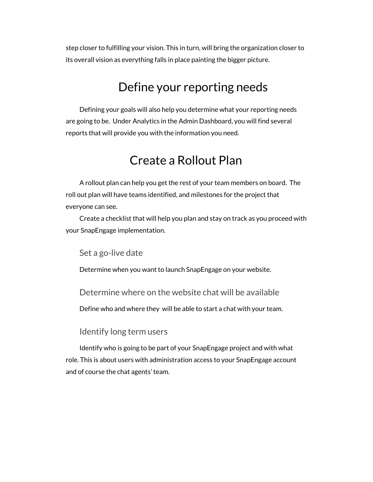<span id="page-4-0"></span>step closer to fulfilling your vision. This in turn, will bring the organization closer to its overall vision as everything falls in place painting the bigger picture.

## Define your reporting needs

<span id="page-4-1"></span>Defining your goals will also help you determine what your reporting needs are going to be. Under Analytics in the Admin Dashboard, you will find several reports that will provide you with the information you need.

## Create a Rollout Plan

A rollout plan can help you get the rest of your team members on board. The roll out plan will have teams identified, and milestones for the project that everyone can see.

<span id="page-4-2"></span>Create a checklist that will help you plan and stay on track as you proceed with your SnapEngage implementation.

Set a go-live date

<span id="page-4-3"></span>Determine when you want to launch SnapEngage on your website.

Determine where on the website chat will be available

Define who and where they will be able to start a chat with your team.

Identify long term users

<span id="page-4-4"></span>Identify who is going to be part of your SnapEngage project and with what role. This is about users with administration access to your SnapEngage account and of course the chat agents' team.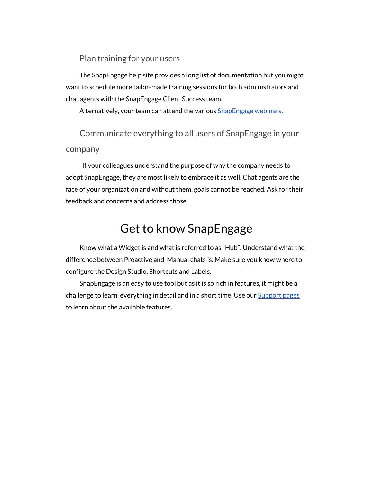Plan training for your users

<span id="page-5-0"></span>The SnapEngage help site provides a long list of documentation but you might want to schedule more tailor-made training sessions for both administrators and chat agents with the SnapEngage Client Success team.

Alternatively, your team can attend the various [SnapEngage](https://www.bigmarker.com/communities/snapengage/conferences) webinars.

<span id="page-5-1"></span>Communicate everything to all users of SnapEngage in your company

If your colleagues understand the purpose of why the company needs to adopt SnapEngage, they are most likely to embrace it as well. Chat agents are the face of your organization and without them, goals cannot be reached. Ask for their feedback and concerns and address those.

# Get to know SnapEngage

<span id="page-5-2"></span>Know what a Widget is and what is referred to as "Hub". Understand what the difference between Proactive and Manual chats is. Make sure you know where to configure the Design Studio, Shortcuts and Labels.

SnapEngage is an easy to use tool but as it is so rich in features, it might be a challenge to learn everything in detail and in a short time. Use our [Support](https://help.snapengage.com/) pages to learn about the available features.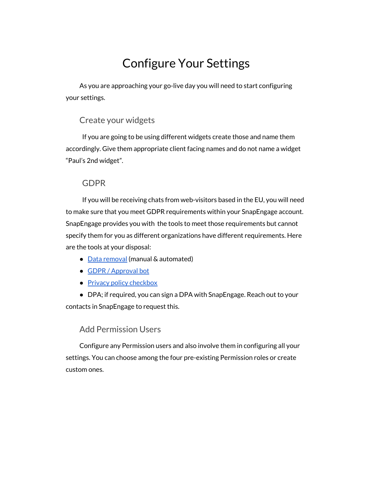# Configure Your Settings

<span id="page-6-1"></span><span id="page-6-0"></span>As you are approaching your go-live day you will need to start configuring your settings.

#### Create your widgets

If you are going to be using different widgets create those and name them accordingly. Give them appropriate client facing names and do not name a widget "Paul's 2nd widget".

#### GDPR

<span id="page-6-2"></span>If you will be receiving chats from web-visitors based in the EU, you will need to make sure that you meet GDPR requirements within your SnapEngage account. SnapEngage provides you with the tools to meet those requirements but cannot specify them for you as different organizations have different requirements. Here are the tools at your disposal:

- Data [removal](https://help.snapengage.com/data-removal-for-gdpr/) (manual & automated)
- GDPR / [Approval](https://help.snapengage.com/gdpr-approval-bot/) bot
- Privacy policy [checkbox](https://help.snapengage.com/checkbox-privacy/)

<span id="page-6-3"></span>● DPA; if required, you can sign a DPA with SnapEngage. Reach out to your contacts in SnapEngage to request this.

#### Add Permission Users

Configure any Permission users and also involve them in configuring all your settings. You can choose among the four pre-existing Permission roles or create custom ones.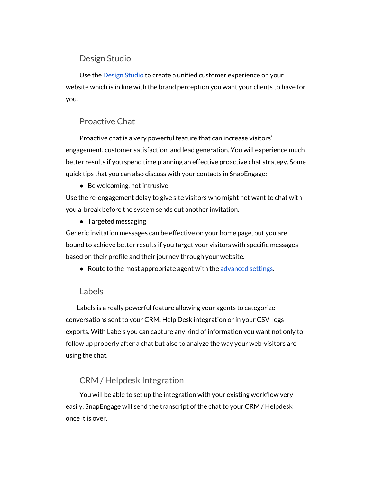#### Design Studio

<span id="page-7-0"></span>Use the [Design](https://help.snapengage.com/intro-to-design-studio/) Studio to create a unified customer experience on your website which is in line with the brand perception you want your clients to have for you.

#### Proactive Chat

<span id="page-7-1"></span>Proactive chat is a very powerful feature that can increase visitors' engagement, customer satisfaction, and lead generation. You will experience much better results if you spend time planning an effective proactive chat strategy. Some quick tips that you can also discuss with your contacts in SnapEngage:

● Be welcoming, not intrusive

Use the re-engagement delay to give site visitors who might not want to chat with you a break before the system sends out another invitation.

● Targeted messaging

Generic invitation messages can be effective on your home page, but you are bound to achieve better results if you target your visitors with specific messages based on their profile and their journey through your website.

● Route to the most appropriate agent with the [advanced](https://help.snapengage.com/proactive-chat-v2-rule-types/#advanced-settings) settings.

#### Labels

<span id="page-7-2"></span>Labels is a really powerful feature allowing your agents to categorize conversations sent to your CRM, Help Desk integration or in your CSV logs exports. With Labels you can capture any kind of information you want not only to follow up properly after a chat but also to analyze the way your web-visitors are using the chat.

#### CRM / Helpdesk Integration

You will be able to set up the integration with your existing workflow very easily. SnapEngage will send the transcript of the chat to your CRM / Helpdesk once it is over.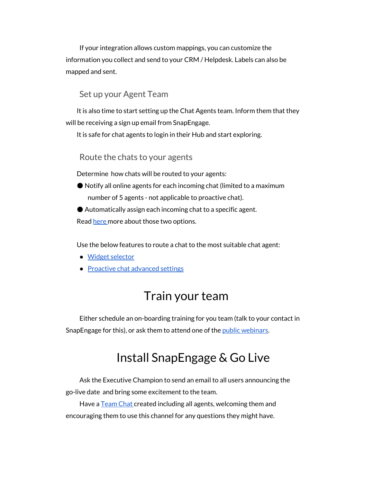If your integration allows custom mappings, you can customize the information you collect and send to your CRM / Helpdesk. Labels can also be mapped and sent.

#### Set up your Agent Team

<span id="page-8-0"></span>It is also time to start setting up the Chat Agents team. Inform them that they will be receiving a sign up email from SnapEngage.

<span id="page-8-1"></span>It is safe for chat agents to login in their Hub and start exploring.

#### Route the chats to your agents

Determine how chats will be routed to your agents:

● Notify all online agents for each incoming chat (limited to a maximum number of 5 agents - not applicable to proactive chat).

● Automatically assign each incoming chat to a specific agent.

Read [here](https://help.snapengage.com/how-are-chats-assigned-to-agents/) more about those two options.

Use the below features to route a chat to the most suitable chat agent:

- Widget [selector](https://help.snapengage.com/design-studio-the-widget-selector/)
- <span id="page-8-2"></span>● [Proactive](https://help.snapengage.com/proactive-chat-v2-rule-types/) chat advanced settings

## Train your team

<span id="page-8-3"></span>Either schedule an on-boarding training for you team (talk to your contact in SnapEngage for this), or ask them to attend one of the *public [webinars](https://www.bigmarker.com/communities/snapengage/conferences)*.

## Install SnapEngage & Go Live

Ask the Executive Champion to send an email to all users announcing the go-live date and bring some excitement to the team.

Have a [Team](https://help.snapengage.com/make-the-most-of-team-chat/) Chat created including all agents, welcoming them and encouraging them to use this channel for any questions they might have.